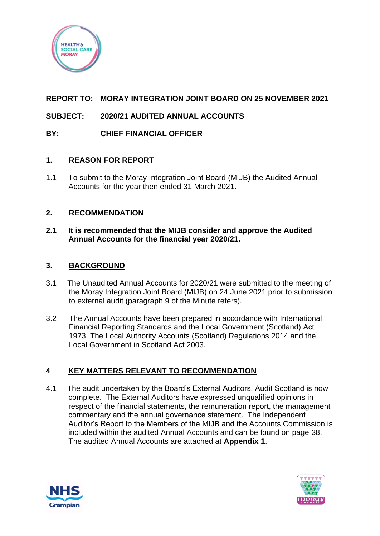

# **REPORT TO: MORAY INTEGRATION JOINT BOARD ON 25 NOVEMBER 2021**

# **SUBJECT: 2020/21 AUDITED ANNUAL ACCOUNTS**

## **BY: CHIEF FINANCIAL OFFICER**

## **1. REASON FOR REPORT**

1.1 To submit to the Moray Integration Joint Board (MIJB) the Audited Annual Accounts for the year then ended 31 March 2021.

## **2. RECOMMENDATION**

## **2.1 It is recommended that the MIJB consider and approve the Audited Annual Accounts for the financial year 2020/21.**

## **3. BACKGROUND**

- 3.1 The Unaudited Annual Accounts for 2020/21 were submitted to the meeting of the Moray Integration Joint Board (MIJB) on 24 June 2021 prior to submission to external audit (paragraph 9 of the Minute refers).
- 3.2 The Annual Accounts have been prepared in accordance with International Financial Reporting Standards and the Local Government (Scotland) Act 1973, The Local Authority Accounts (Scotland) Regulations 2014 and the Local Government in Scotland Act 2003.

## **4 KEY MATTERS RELEVANT TO RECOMMENDATION**

4.1 The audit undertaken by the Board's External Auditors, Audit Scotland is now complete. The External Auditors have expressed unqualified opinions in respect of the financial statements, the remuneration report, the management commentary and the annual governance statement. The Independent Auditor's Report to the Members of the MIJB and the Accounts Commission is included within the audited Annual Accounts and can be found on page 38. The audited Annual Accounts are attached at **Appendix 1**.



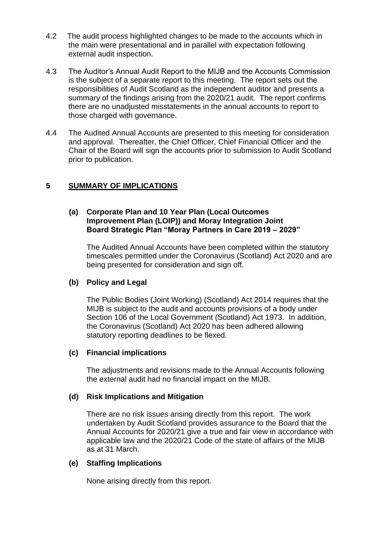- 4.2 The audit process highlighted changes to be made to the accounts which in the main were presentational and in parallel with expectation following external audit inspection.
- 4.3 The Auditor's Annual Audit Report to the MIJB and the Accounts Commission is the subject of a separate report to this meeting. The report sets out the responsibilities of Audit Scotland as the independent auditor and presents a summary of the findings arising from the 2020/21 audit. The report confirms there are no unadjusted misstatements in the annual accounts to report to those charged with governance.
- 4.4 The Audited Annual Accounts are presented to this meeting for consideration and approval. Thereafter, the Chief Officer, Chief Financial Officer and the Chair of the Board will sign the accounts prior to submission to Audit Scotland prior to publication.

## **5 SUMMARY OF IMPLICATIONS**

#### **(a) Corporate Plan and 10 Year Plan (Local Outcomes Improvement Plan (LOIP)) and Moray Integration Joint Board Strategic Plan "Moray Partners in Care 2019 – 2029"**

The Audited Annual Accounts have been completed within the statutory timescales permitted under the Coronavirus (Scotland) Act 2020 and are being presented for consideration and sign off.

#### **(b) Policy and Legal**

The Public Bodies (Joint Working) (Scotland) Act 2014 requires that the MIJB is subject to the audit and accounts provisions of a body under Section 106 of the Local Government (Scotland) Act 1973. In addition, the Coronavirus (Scotland) Act 2020 has been adhered allowing statutory reporting deadlines to be flexed.

#### **(c) Financial implications**

The adjustments and revisions made to the Annual Accounts following the external audit had no financial impact on the MIJB.

#### **(d) Risk Implications and Mitigation**

There are no risk issues arising directly from this report. The work undertaken by Audit Scotland provides assurance to the Board that the Annual Accounts for 2020/21 give a true and fair view in accordance with applicable law and the 2020/21 Code of the state of affairs of the MIJB as at 31 March.

#### **(e) Staffing Implications**

None arising directly from this report.